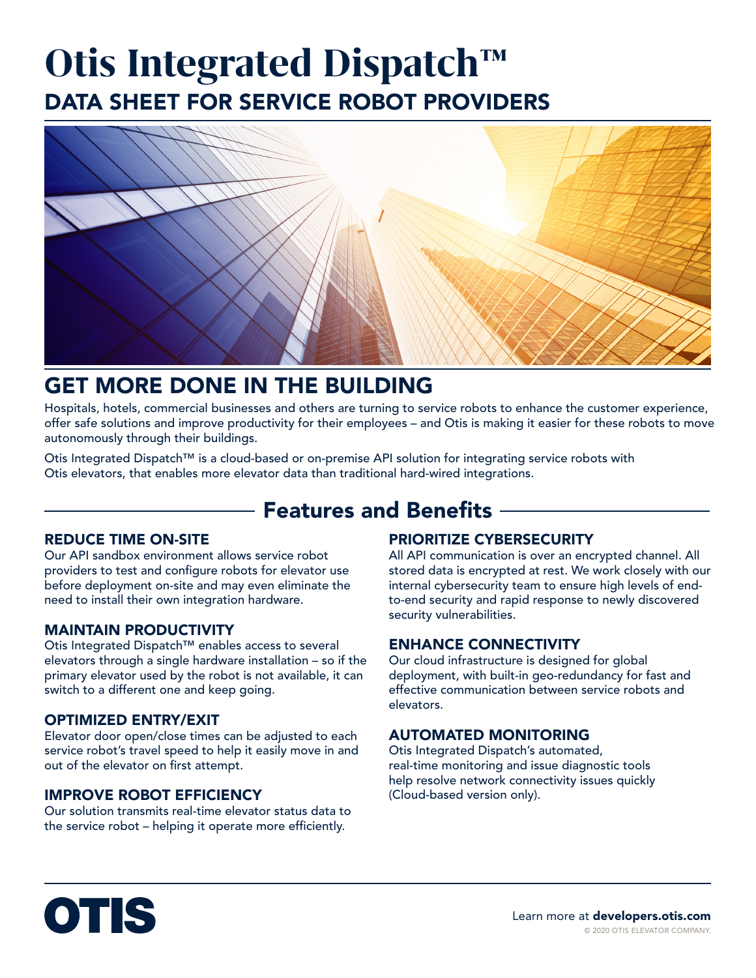# DATA SHEET FOR SERVICE ROBOT PROVIDERS **Otis Integrated Dispatch™**



### GET MORE DONE IN THE BUILDING

Hospitals, hotels, commercial businesses and others are turning to service robots to enhance the customer experience, offer safe solutions and improve productivity for their employees – and Otis is making it easier for these robots to move autonomously through their buildings.

Otis Integrated Dispatch™ is a cloud-based or on-premise API solution for integrating service robots with Otis elevators, that enables more elevator data than traditional hard-wired integrations.

### **- Features and Benefits -**

#### REDUCE TIME ON-SITE

Our API sandbox environment allows service robot providers to test and configure robots for elevator use before deployment on-site and may even eliminate the need to install their own integration hardware.

#### MAINTAIN PRODUCTIVITY

Otis Integrated Dispatch™ enables access to several elevators through a single hardware installation – so if the primary elevator used by the robot is not available, it can switch to a different one and keep going.

#### OPTIMIZED ENTRY/EXIT

Elevator door open/close times can be adjusted to each service robot's travel speed to help it easily move in and out of the elevator on first attempt.

### IMPROVE ROBOT EFFICIENCY

Our solution transmits real-time elevator status data to the service robot – helping it operate more efficiently.

### PRIORITIZE CYBERSECURITY

All API communication is over an encrypted channel. All stored data is encrypted at rest. We work closely with our internal cybersecurity team to ensure high levels of endto-end security and rapid response to newly discovered security vulnerabilities.

#### ENHANCE CONNECTIVITY

Our cloud infrastructure is designed for global deployment, with built-in geo-redundancy for fast and effective communication between service robots and elevators.

### AUTOMATED MONITORING

Otis Integrated Dispatch's automated, real-time monitoring and issue diagnostic tools help resolve network connectivity issues quickly (Cloud-based version only).